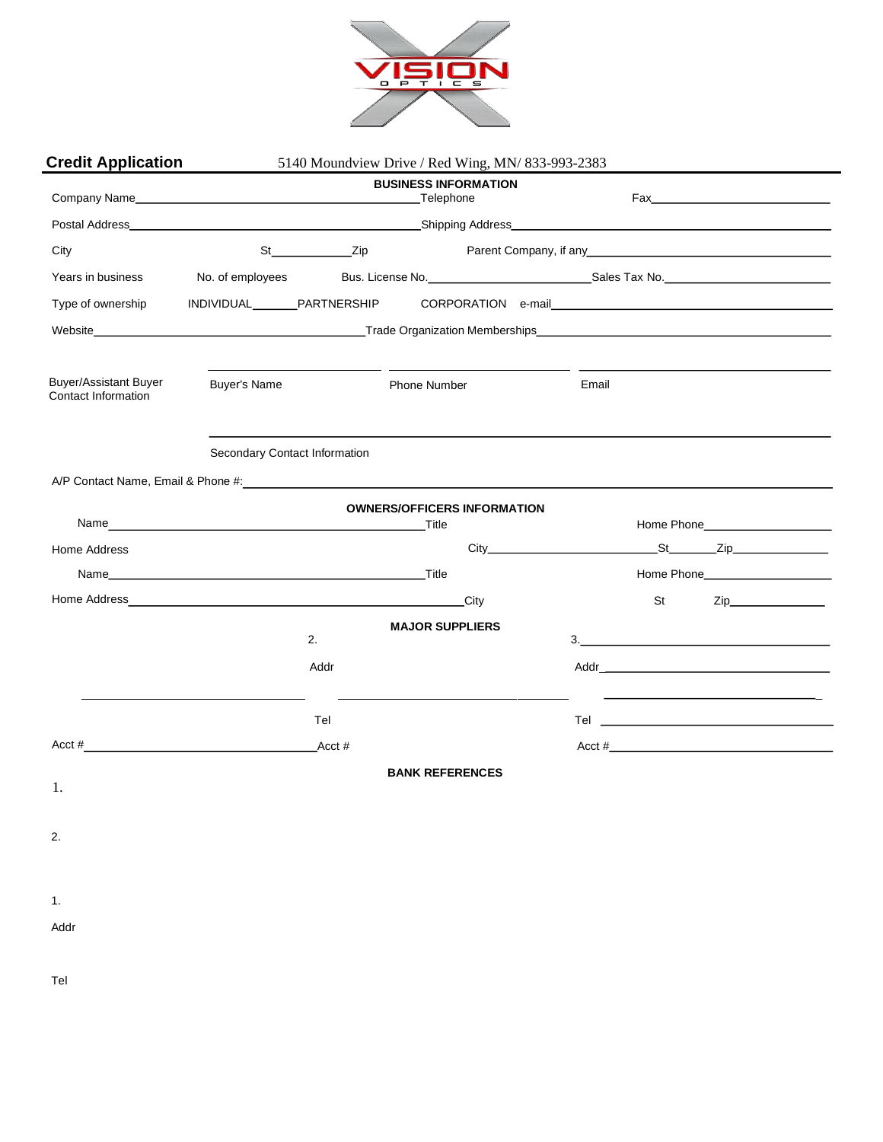

| <b>Credit Application</b><br>5140 Moundview Drive / Red Wing, MN/ 833-993-2383                                                                                                                                                 |                               |                          |                        |                                    |       |                                                                                                                                                                                                                                                                                                                                                                                                                                |
|--------------------------------------------------------------------------------------------------------------------------------------------------------------------------------------------------------------------------------|-------------------------------|--------------------------|------------------------|------------------------------------|-------|--------------------------------------------------------------------------------------------------------------------------------------------------------------------------------------------------------------------------------------------------------------------------------------------------------------------------------------------------------------------------------------------------------------------------------|
|                                                                                                                                                                                                                                | <b>BUSINESS INFORMATION</b>   |                          |                        |                                    |       |                                                                                                                                                                                                                                                                                                                                                                                                                                |
|                                                                                                                                                                                                                                |                               |                          |                        |                                    |       |                                                                                                                                                                                                                                                                                                                                                                                                                                |
| City                                                                                                                                                                                                                           |                               | St___________________Zip |                        |                                    |       | Parent Company, if any 1990 and 200 million and 200 million and 200 million and 200 million and 200 million and 200 million and 200 million and 200 million and 200 million and 200 million and 200 million and 200 million an                                                                                                                                                                                                 |
| Years in business                                                                                                                                                                                                              | No. of employees              |                          |                        |                                    |       |                                                                                                                                                                                                                                                                                                                                                                                                                                |
| Type of ownership                                                                                                                                                                                                              | INDIVIDUAL________PARTNERSHIP |                          |                        |                                    |       | CORPORATION e-mail                                                                                                                                                                                                                                                                                                                                                                                                             |
|                                                                                                                                                                                                                                |                               |                          |                        |                                    |       |                                                                                                                                                                                                                                                                                                                                                                                                                                |
| Buyer/Assistant Buyer<br><b>Contact Information</b>                                                                                                                                                                            | <b>Buyer's Name</b>           | <b>Contract Contract</b> | Phone Number           |                                    | Email |                                                                                                                                                                                                                                                                                                                                                                                                                                |
|                                                                                                                                                                                                                                | Secondary Contact Information |                          |                        |                                    |       |                                                                                                                                                                                                                                                                                                                                                                                                                                |
| A/P Contact Name, Email & Phone #: example and a series of the state of the state of the state of the state of the state of the state of the state of the state of the state of the state of the state of the state of the sta |                               |                          |                        |                                    |       |                                                                                                                                                                                                                                                                                                                                                                                                                                |
|                                                                                                                                                                                                                                |                               |                          | Title                  | <b>OWNERS/OFFICERS INFORMATION</b> |       |                                                                                                                                                                                                                                                                                                                                                                                                                                |
| Home Address                                                                                                                                                                                                                   |                               |                          |                        |                                    |       |                                                                                                                                                                                                                                                                                                                                                                                                                                |
|                                                                                                                                                                                                                                |                               |                          |                        |                                    |       | Home Phone                                                                                                                                                                                                                                                                                                                                                                                                                     |
|                                                                                                                                                                                                                                |                               |                          |                        | City                               | St    |                                                                                                                                                                                                                                                                                                                                                                                                                                |
|                                                                                                                                                                                                                                |                               |                          | <b>MAJOR SUPPLIERS</b> |                                    |       |                                                                                                                                                                                                                                                                                                                                                                                                                                |
|                                                                                                                                                                                                                                |                               | 2.                       |                        |                                    |       | $\begin{tabular}{c} 3. & \begin{tabular}{@{}c@{}} \textbf{1} & \textbf{2} & \textbf{3} & \textbf{4} & \textbf{5} & \textbf{5} & \textbf{6} & \textbf{6} & \textbf{6} & \textbf{6} & \textbf{6} & \textbf{6} & \textbf{6} & \textbf{6} & \textbf{6} & \textbf{6} & \textbf{6} & \textbf{6} & \textbf{6} & \textbf{6} & \textbf{6} & \textbf{6} & \textbf{6} & \textbf{6} & \textbf{6} & \textbf{6} & \textbf{6} & \textbf{6} &$ |
|                                                                                                                                                                                                                                |                               | Addr                     |                        |                                    |       |                                                                                                                                                                                                                                                                                                                                                                                                                                |
|                                                                                                                                                                                                                                |                               | Tel                      |                        |                                    |       |                                                                                                                                                                                                                                                                                                                                                                                                                                |
| Acct $#$                                                                                                                                                                                                                       |                               | Acct #                   |                        |                                    |       | $\text{Acct}\; \text{\#}$                                                                                                                                                                                                                                                                                                                                                                                                      |
|                                                                                                                                                                                                                                |                               |                          | <b>BANK REFERENCES</b> |                                    |       |                                                                                                                                                                                                                                                                                                                                                                                                                                |
| 1.                                                                                                                                                                                                                             |                               |                          |                        |                                    |       |                                                                                                                                                                                                                                                                                                                                                                                                                                |
| 2.                                                                                                                                                                                                                             |                               |                          |                        |                                    |       |                                                                                                                                                                                                                                                                                                                                                                                                                                |
|                                                                                                                                                                                                                                |                               |                          |                        |                                    |       |                                                                                                                                                                                                                                                                                                                                                                                                                                |
|                                                                                                                                                                                                                                |                               |                          |                        |                                    |       |                                                                                                                                                                                                                                                                                                                                                                                                                                |
| 1.                                                                                                                                                                                                                             |                               |                          |                        |                                    |       |                                                                                                                                                                                                                                                                                                                                                                                                                                |
| Addr                                                                                                                                                                                                                           |                               |                          |                        |                                    |       |                                                                                                                                                                                                                                                                                                                                                                                                                                |
|                                                                                                                                                                                                                                |                               |                          |                        |                                    |       |                                                                                                                                                                                                                                                                                                                                                                                                                                |
| Tel                                                                                                                                                                                                                            |                               |                          |                        |                                    |       |                                                                                                                                                                                                                                                                                                                                                                                                                                |